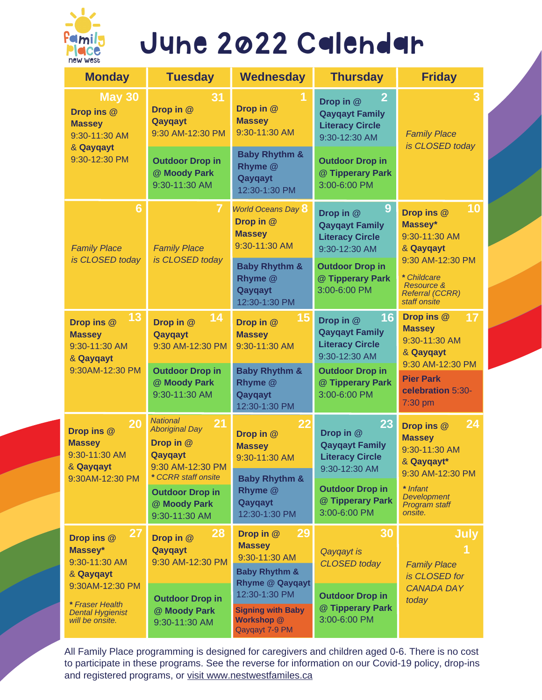

# June 2022 Calendar

| <b>Monday</b>                                                                                                                                        | <b>Tuesday</b>                                                                             | <b>Wednesday</b>                                                                                     | <b>Thursday</b>                                                                                              | <b>Friday</b>                                                                                                                                                   |
|------------------------------------------------------------------------------------------------------------------------------------------------------|--------------------------------------------------------------------------------------------|------------------------------------------------------------------------------------------------------|--------------------------------------------------------------------------------------------------------------|-----------------------------------------------------------------------------------------------------------------------------------------------------------------|
| <b>May 30</b><br>Drop ins @<br><b>Massey</b><br>9:30-11:30 AM<br>& Qayqayt<br>9:30-12:30 PM                                                          | 31<br>Drop in @<br>Qayqayt<br>9:30 AM-12:30 PM                                             | 1<br>Drop in @<br><b>Massey</b><br>9:30-11:30 AM                                                     | 2<br>Drop in @<br><b>Qayqayt Family</b><br><b>Literacy Circle</b><br>9:30-12:30 AM                           | 3<br><b>Family Place</b><br>is CLOSED today                                                                                                                     |
|                                                                                                                                                      | <b>Outdoor Drop in</b><br>@ Moody Park<br>9:30-11:30 AM                                    | <b>Baby Rhythm &amp;</b><br>Rhyme @<br>Qayqayt<br>12:30-1:30 PM                                      | <b>Outdoor Drop in</b><br>@ Tipperary Park<br>3:00-6:00 PM                                                   |                                                                                                                                                                 |
| $6\phantom{1}6$<br><b>Family Place</b><br>is CLOSED today                                                                                            | 7<br><b>Family Place</b><br>is CLOSED today                                                | <b>World Oceans Day 8</b><br>Drop in @<br><b>Massey</b><br>9:30-11:30 AM<br><b>Baby Rhythm &amp;</b> | 9<br>Drop in @<br><b>Qayqayt Family</b><br><b>Literacy Circle</b><br>9:30-12:30 AM<br><b>Outdoor Drop in</b> | 10<br>Drop ins @<br>Massey*<br>9:30-11:30 AM<br>& Qayqayt<br>9:30 AM-12:30 PM<br>* Childcare<br><b>Resource &amp;</b><br><b>Referral (CCRR)</b><br>staff onsite |
|                                                                                                                                                      |                                                                                            | Rhyme @<br>Qayqayt<br>12:30-1:30 PM                                                                  | @ Tipperary Park<br>3:00-6:00 PM                                                                             |                                                                                                                                                                 |
| 13<br>Drop ins @<br><b>Massey</b><br>9:30-11:30 AM<br>& Qayqayt<br>9:30AM-12:30 PM                                                                   | 14<br>Drop in @<br>Qayqayt<br>9:30 AM-12:30 PM                                             | 15<br>Drop in @<br><b>Massey</b><br>9:30-11:30 AM                                                    | 16<br>Drop in @<br><b>Qayqayt Family</b><br><b>Literacy Circle</b><br>9:30-12:30 AM                          | Drop ins @<br>17<br><b>Massey</b><br>9:30-11:30 AM<br>& Qayqayt<br>9:30 AM-12:30 PM                                                                             |
|                                                                                                                                                      | <b>Outdoor Drop in</b><br>@ Moody Park<br>9:30-11:30 AM                                    | <b>Baby Rhythm &amp;</b><br>Rhyme @<br>Qayqayt<br>12:30-1:30 PM                                      | <b>Outdoor Drop in</b><br>@ Tipperary Park<br>3:00-6:00 PM                                                   | <b>Pier Park</b><br>celebration 5:30-<br>7:30 pm                                                                                                                |
| 20<br>Drop ins @<br><b>Massey</b><br>9:30-11:30 AM<br>& Qayqayt<br>9:30AM-12:30 PM                                                                   | <b>National</b><br>21<br><b>Aboriginal Day</b><br>Drop in @<br>Qayqayt<br>9:30 AM-12:30 PM | 22<br>Drop in @<br><b>Massey</b><br>9:30-11:30 AM                                                    | 23<br>Drop in @<br><b>Qayqayt Family</b><br><b>Literacy Circle</b><br>9:30-12:30 AM                          | 24<br>Drop ins @<br><b>Massey</b><br>9:30-11:30 AM<br>& Qayqayt*                                                                                                |
|                                                                                                                                                      | * CCRR staff onsite<br><b>Outdoor Drop in</b><br>@ Moody Park<br>9:30-11:30 AM             | <b>Baby Rhythm &amp;</b><br>Rhyme @<br>Qayqayt<br>12:30-1:30 PM                                      | <b>Outdoor Drop in</b><br>@ Tipperary Park<br>3:00-6:00 PM                                                   | 9:30 AM-12:30 PM<br>* Infant<br>Development<br>Program staff<br>onsite.                                                                                         |
| <b>27</b><br>Drop ins @<br>Massey*<br>9:30-11:30 AM<br>& Qayqayt<br>9:30AM-12:30 PM<br>* Fraser Health<br><b>Dental Hygienist</b><br>will be onsite. | 28<br>Drop in $@$<br>Qayqayt<br>9:30 AM-12:30 PM                                           | 29<br>Drop in @<br><b>Massey</b><br>9:30-11:30 AM<br><b>Baby Rhythm &amp;</b><br>Rhyme @ Qayqayt     | 30<br>Qayqayt is<br><b>CLOSED</b> today                                                                      | <b>July</b><br>$\mathbf{1}$<br><b>Family Place</b><br>is CLOSED for                                                                                             |
|                                                                                                                                                      | <b>Outdoor Drop in</b><br>@ Moody Park<br>9:30-11:30 AM                                    | 12:30-1:30 PM<br><b>Signing with Baby</b><br>Workshop @<br>Qayqayt 7-9 PM                            | <b>Outdoor Drop in</b><br>@ Tipperary Park<br>3:00-6:00 PM                                                   | <b>CANADA DAY</b><br>today                                                                                                                                      |

All Family Place programming is designed for caregivers and children aged 0-6. There is no cost to participate in these programs. See the reverse for information on our Covid-19 policy, drop-ins and registered programs, or visit [www.nestwestfamiles.ca](https://www.newwestfamilies.ca/)